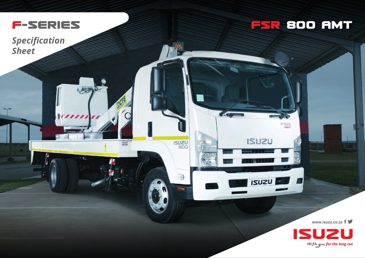

Look

*Specification Sheet*

## **FSR 8OO AMT**

FSR

ISUZU

**ISUZU** 

 $\blacktriangle$ 

**ISUZU** 

**www.isuzu.co.za**